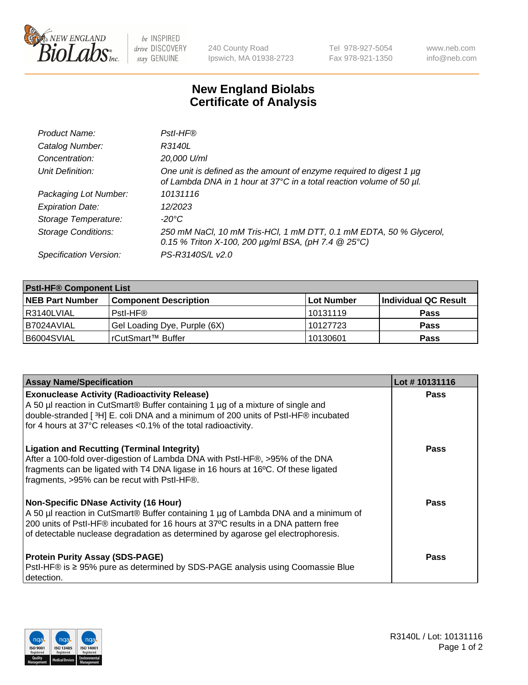

 $be$  INSPIRED drive DISCOVERY stay GENUINE

240 County Road Ipswich, MA 01938-2723 Tel 978-927-5054 Fax 978-921-1350 www.neb.com info@neb.com

## **New England Biolabs Certificate of Analysis**

| Product Name:              | Pstl-HF®                                                                                                                                             |
|----------------------------|------------------------------------------------------------------------------------------------------------------------------------------------------|
| Catalog Number:            | R3140L                                                                                                                                               |
| Concentration:             | 20,000 U/ml                                                                                                                                          |
| Unit Definition:           | One unit is defined as the amount of enzyme required to digest 1 $\mu$ g<br>of Lambda DNA in 1 hour at 37°C in a total reaction volume of 50 µl.     |
| Packaging Lot Number:      | 10131116                                                                                                                                             |
| <b>Expiration Date:</b>    | 12/2023                                                                                                                                              |
| Storage Temperature:       | $-20^{\circ}$ C                                                                                                                                      |
| <b>Storage Conditions:</b> | 250 mM NaCl, 10 mM Tris-HCl, 1 mM DTT, 0.1 mM EDTA, 50 % Glycerol,<br>0.15 % Triton X-100, 200 $\mu$ g/ml BSA, (pH 7.4 $\textcircled{25}^{\circ}$ C) |
| Specification Version:     | PS-R3140S/L v2.0                                                                                                                                     |

| <b>Pstl-HF® Component List</b> |                              |                   |                      |  |
|--------------------------------|------------------------------|-------------------|----------------------|--|
| <b>NEB Part Number</b>         | <b>Component Description</b> | <b>Lot Number</b> | Individual QC Result |  |
| I R3140LVIAL                   | Pstl-HF®                     | 10131119          | <b>Pass</b>          |  |
| B7024AVIAL                     | Gel Loading Dye, Purple (6X) | 10127723          | <b>Pass</b>          |  |
| B6004SVIAL                     | l rCutSmart™ Buffer          | 10130601          | <b>Pass</b>          |  |

| <b>Assay Name/Specification</b>                                                                                                                                                                                                                                                                        | Lot #10131116 |
|--------------------------------------------------------------------------------------------------------------------------------------------------------------------------------------------------------------------------------------------------------------------------------------------------------|---------------|
| <b>Exonuclease Activity (Radioactivity Release)</b><br>A 50 µl reaction in CutSmart® Buffer containing 1 µg of a mixture of single and<br>double-stranded [3H] E. coli DNA and a minimum of 200 units of PstI-HF® incubated<br>for 4 hours at 37°C releases <0.1% of the total radioactivity.          | <b>Pass</b>   |
| <b>Ligation and Recutting (Terminal Integrity)</b><br>After a 100-fold over-digestion of Lambda DNA with PstI-HF®, >95% of the DNA<br>fragments can be ligated with T4 DNA ligase in 16 hours at 16°C. Of these ligated<br>fragments, >95% can be recut with PstI-HF®.                                 | Pass          |
| Non-Specific DNase Activity (16 Hour)<br>A 50 µl reaction in CutSmart® Buffer containing 1 µg of Lambda DNA and a minimum of<br>200 units of Pstl-HF® incubated for 16 hours at 37°C results in a DNA pattern free<br>of detectable nuclease degradation as determined by agarose gel electrophoresis. | <b>Pass</b>   |
| <b>Protein Purity Assay (SDS-PAGE)</b><br>PstI-HF® is ≥ 95% pure as determined by SDS-PAGE analysis using Coomassie Blue<br>I detection.                                                                                                                                                               | <b>Pass</b>   |